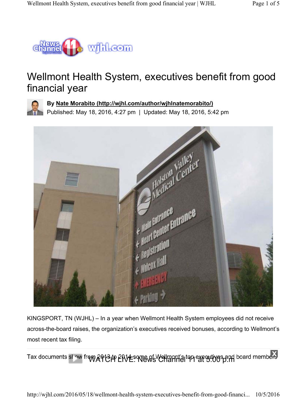

# Wellmont Health System, executives benefit from good financial year



**By Nate Morabito (http://wjhl.com/author/wjhlnatemorabito/)**

Published: May 18, 2016, 4:27 pm | Updated: May 18, 2016, 5:42 pm



KINGSPORT, TN (WJHL) – In a year when Wellmont Health System employees did not receive across-the-board raises, the organization's executives received bonuses, according to Wellmont's most recent tax filing.

Tax documents stow from 2913 in 2014 some of Wellmant's top executives and board members

http://wjhl.com/2016/05/18/wellmont-health-system-executives-benefit-from-good-financi... 10/5/2016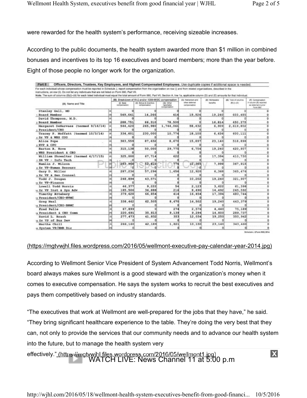were rewarded for the health system's performance, receiving sizeable increases.

According to the public documents, the health system awarded more than \$1 million in combined bonuses and incentives to its top 16 executives and board members; more than the year before. Eight of those people no longer work for the organization.

| Note. The sum of columns (B)()-(ii) for each listed individual must equal the total amount of Form 990, Part VII, Section A, line 1a, applicable column (D) and (E) amounts for that individual. |                                                                                                       |               |                            |                                     |                             |                                   |                                            |
|--------------------------------------------------------------------------------------------------------------------------------------------------------------------------------------------------|-------------------------------------------------------------------------------------------------------|---------------|----------------------------|-------------------------------------|-----------------------------|-----------------------------------|--------------------------------------------|
| (A) Name and Title                                                                                                                                                                               | (B) Breakdown of W-2 and/or 1099-MISC compensation<br>(6 Rank<br>overseas & autoB (ii)<br>(ili) Othar |               |                            | (C) Retrement and<br>other deferred | (D) Nortauable<br>bonaffix. | (6) Total of columns<br>(0010-001 | IFI Compensation<br>In column (8) reported |
|                                                                                                                                                                                                  | compensation.                                                                                         | compensation. | reportable<br>compensation | compensation                        |                             |                                   | as deferred in prior<br>Form 990           |
| Stanley Gall, MD                                                                                                                                                                                 |                                                                                                       |               |                            |                                     |                             |                                   |                                            |
| Board Member                                                                                                                                                                                     | 549.641                                                                                               | 14,266        |                            | 19,924                              | 19,240                      | 603,485                           |                                            |
| David Thompson, M.D.                                                                                                                                                                             |                                                                                                       |               |                            |                                     |                             |                                   |                                            |
| 2 Board Member                                                                                                                                                                                   | 288,751                                                                                               | 66,310        | 78,500                     |                                     | 16,814                      | 450,375                           |                                            |
| Margaret DeNarvaez (termed 9/16/14)                                                                                                                                                              | 544,420                                                                                               | 265,980       | 1,744,061                  | 58,432                              | 6,909                       | 2,619,802                         |                                            |
| : President/CEO                                                                                                                                                                                  |                                                                                                       |               |                            |                                     |                             |                                   |                                            |
| Tracey P. Moffatt (termed 10/3/14)                                                                                                                                                               | 334,601                                                                                               | 230,000       | 10,774                     | 18,100                              | 6,636                       | 600,111                           |                                            |
| 4 Sr VP & WHS COO                                                                                                                                                                                |                                                                                                       |               |                            |                                     |                             |                                   |                                            |
| Alice Pope                                                                                                                                                                                       | 383,559                                                                                               | 87,632        | 8,670                      | 15,897                              | 23,140                      | 518,898                           |                                            |
| s EVP & CFO                                                                                                                                                                                      |                                                                                                       |               |                            |                                     |                             |                                   |                                            |
| Barton A. Hove                                                                                                                                                                                   | 315,138                                                                                               | 50,000        | 29,775                     | 6,754                               | 19,240                      | 420,907                           |                                            |
| « WHS President & CEO                                                                                                                                                                            |                                                                                                       |               |                            |                                     |                             |                                   |                                            |
| William Showalter (termed 4/17/15)                                                                                                                                                               | 325,000                                                                                               | 67,714        | 622                        |                                     | 17,394                      | 410,730                           |                                            |
| 7 SR VP - Info Tech                                                                                                                                                                              |                                                                                                       |               |                            |                                     |                             |                                   |                                            |
| Hamlin J. Wilson                                                                                                                                                                                 | 293,968                                                                                               | 52,810        | 774                        | 12,365                              | 7,998                       | 367,915                           |                                            |
| s Sr VP-Human Resourc                                                                                                                                                                            |                                                                                                       |               |                            |                                     |                             |                                   |                                            |
| Gary D. Miller                                                                                                                                                                                   | 287,236                                                                                               | 57,296        | 1,656                      | 12,920                              | 6,368                       | 365, 476                          |                                            |
| o Sr VP & Gen Counsel                                                                                                                                                                            |                                                                                                       |               |                            |                                     |                             |                                   |                                            |
| Todd J. Dougan                                                                                                                                                                                   | 248.894                                                                                               | 43,571        |                            | 10,202                              | 19,240                      | 321,907                           |                                            |
| u Sr VP-Finance                                                                                                                                                                                  |                                                                                                       |               |                            |                                     |                             |                                   |                                            |
| Lowell Todd Norris                                                                                                                                                                               | 46.377                                                                                                | 9,222         | 54                         | 2,123                               | 3,622                       | 61,398                            |                                            |
| 11 Sr VP Inst & Sys Adv                                                                                                                                                                          | 185,506                                                                                               | 36,888        | 216                        | 8,490                               | 14,492                      | 245,592                           |                                            |
| Timothy Attebery                                                                                                                                                                                 | 379,628                                                                                               | 66,854        | 414                        | 16,454                              | 17,394                      | 480.744                           |                                            |
| 12 President/CEO-HVMC                                                                                                                                                                            |                                                                                                       |               |                            |                                     |                             |                                   |                                            |
| Greg Neal                                                                                                                                                                                        | 338,462                                                                                               | 62,505        | 8,670                      | 14,502                              | 19,240                      | 443,379                           |                                            |
| 11 President/CEO-BRMC                                                                                                                                                                            |                                                                                                       |               |                            |                                     |                             |                                   |                                            |
| Fred Pelle                                                                                                                                                                                       | 67.899                                                                                                |               | 274                        | 2,576                               | 4.440                       | 75,189                            |                                            |
| u President & CEO Comm                                                                                                                                                                           | 220,691                                                                                               | 35,813        | 9,139                      | 9,294                               | 14,800                      | 289,737                           |                                            |
| David L. Brash                                                                                                                                                                                   | 277.473                                                                                               | 41.832        | 353                        | 12,034                              | 19,250                      | 350,942                           |                                            |
| is Sr VP of Bus Dev                                                                                                                                                                              |                                                                                                       |               |                            |                                     |                             |                                   |                                            |
| Martha Chill                                                                                                                                                                                     | 266,160<br>rei                                                                                        | 42,189        | 1,821                      | 10,150                              | 23,140                      | 343,460                           |                                            |
| to System VP/EMR Dir                                                                                                                                                                             |                                                                                                       |               |                            |                                     |                             |                                   |                                            |

#### (https://mgtvwjhl.files.wordpress.com/2016/05/wellmont-executive-pay-calendar-year-2014.jpg)

According to Wellmont Senior Vice President of System Advancement Todd Norris, Wellmont's board always makes sure Wellmont is a good steward with the organization's money when it comes to executive compensation. He says the system works to recruit the best executives and pays them competitively based on industry standards.

"The executives that work at Wellmont are well-prepared for the jobs that they have," he said. "They bring significant healthcare experience to the table. They're doing the very best that they can, not only to provide the services that our community needs and to advance our health system into the future, but to manage the health system very

effectively." WATCH LIVE: News Channel 11 at 5:00 p.m  $\mathbf x$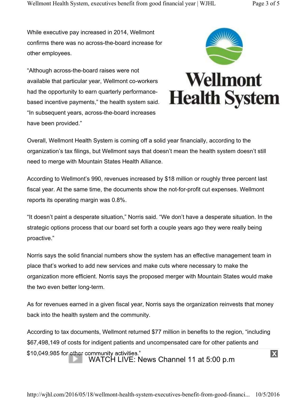While executive pay increased in 2014, Wellmont confirms there was no across-the-board increase for other employees.

"Although across-the-board raises were not available that particular year, Wellmont co-workers had the opportunity to earn quarterly performancebased incentive payments," the health system said. "In subsequent years, across-the-board increases have been provided."



Overall, Wellmont Health System is coming off a solid year financially, according to the organization's tax filings, but Wellmont says that doesn't mean the health system doesn't still need to merge with Mountain States Health Alliance.

According to Wellmont's 990, revenues increased by \$18 million or roughly three percent last fiscal year. At the same time, the documents show the not-for-profit cut expenses. Wellmont reports its operating margin was 0.8%.

"It doesn't paint a desperate situation," Norris said. "We don't have a desperate situation. In the strategic options process that our board set forth a couple years ago they were really being proactive."

Norris says the solid financial numbers show the system has an effective management team in place that's worked to add new services and make cuts where necessary to make the organization more efficient. Norris says the proposed merger with Mountain States would make the two even better long-term.

As for revenues earned in a given fiscal year, Norris says the organization reinvests that money back into the health system and the community.

According to tax documents, Wellmont returned \$77 million in benefits to the region, "including \$67,498,149 of costs for indigent patients and uncompensated care for other patients and \$10,049,985 for other community activities." WATCH LIVE: News Channel 11 at 5:00 p.m

 $\mathbf x$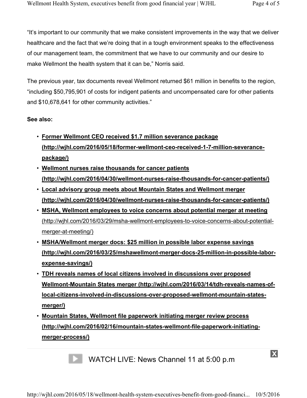"It's important to our community that we make consistent improvements in the way that we deliver healthcare and the fact that we're doing that in a tough environment speaks to the effectiveness of our management team, the commitment that we have to our community and our desire to make Wellmont the health system that it can be," Norris said.

The previous year, tax documents reveal Wellmont returned \$61 million in benefits to the region, "including \$50,795,901 of costs for indigent patients and uncompensated care for other patients and \$10,678,641 for other community activities."

#### **See also:**

- **Former Wellmont CEO received \$1.7 million severance package (http://wjhl.com/2016/05/18/former-wellmont-ceo-received-1-7-million-severancepackage/)**
- **Wellmont nurses raise thousands for cancer patients (http://wjhl.com/2016/04/30/wellmont-nurses-raise-thousands-for-cancer-patients/)**
- **Local advisory group meets about Mountain States and Wellmont merger (http://wjhl.com/2016/04/30/wellmont-nurses-raise-thousands-for-cancer-patients/)**
- **MSHA, Wellmont employees to voice concerns about potential merger at meeting** (http://wjhl.com/2016/03/29/msha-wellmont-employees-to-voice-concerns-about-potentialmerger-at-meeting/)
- **MSHA/Wellmont merger docs: \$25 million in possible labor expense savings (http://wjhl.com/2016/03/25/mshawellmont-merger-docs-25-million-in-possible-laborexpense-savings/)**
- **TDH reveals names of local citizens involved in discussions over proposed Wellmont-Mountain States merger (http://wjhl.com/2016/03/14/tdh-reveals-names-oflocal-citizens-involved-in-discussions-over-proposed-wellmont-mountain-statesmerger/)**
- **Mountain States, Wellmont file paperwork initiating merger review process (http://wjhl.com/2016/02/16/mountain-states-wellmont-file-paperwork-initiatingmerger-process/)**